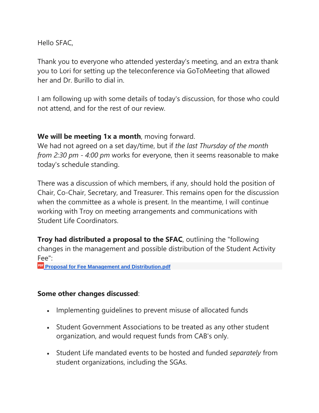Hello SFAC,

Thank you to everyone who attended yesterday's meeting, and an extra thank you to Lori for setting up the teleconference via GoToMeeting that allowed her and Dr. Burillo to dial in.

I am following up with some details of today's discussion, for those who could not attend, and for the rest of our review.

## **We will be meeting 1x a month**, moving forward.

We had not agreed on a set day/time, but if *the last Thursday of the month from 2:30 pm - 4:00 pm* works for everyone, then it seems reasonable to make today's schedule standing.

There was a discussion of which members, if any, should hold the position of Chair, Co-Chair, Secretary, and Treasurer. This remains open for the discussion when the committee as a whole is present. In the meantime, I will continue working with Troy on meeting arrangements and communications with Student Life Coordinators.

**Troy had distributed a proposal to the SFAC**, outlining the "following" changes in the management and possible distribution of the Student Activity Fee":

**Proposal for Fee Management and [Distribution.pdf](https://drive.google.com/file/d/1noKdUDUku5YoXjov7KDSCOEk2w3xHe5k/view?usp=drive_web)**

## **Some other changes discussed**:

- Implementing guidelines to prevent misuse of allocated funds
- Student Government Associations to be treated as any other student organization, and would request funds from CAB's only.
- Student Life mandated events to be hosted and funded *separately* from student organizations, including the SGAs.